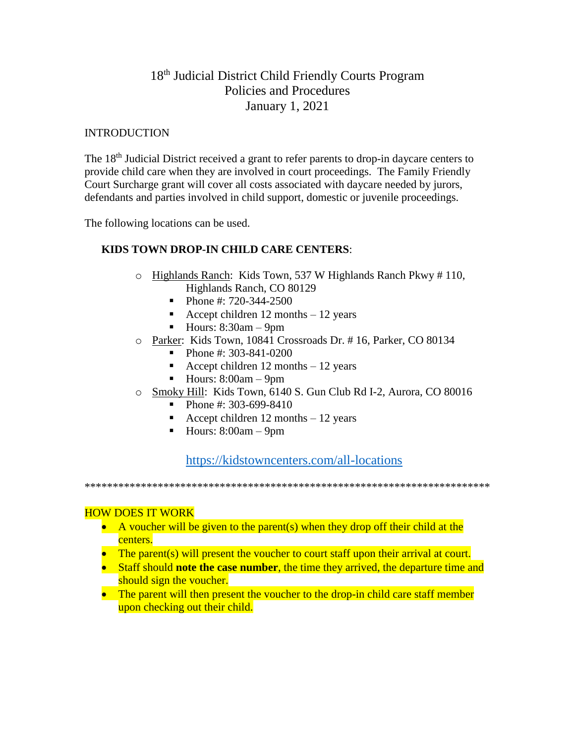# 18<sup>th</sup> Judicial District Child Friendly Courts Program Policies and Procedures January 1, 2021

#### **INTRODUCTION**

The 18<sup>th</sup> Judicial District received a grant to refer parents to drop-in daycare centers to provide child care when they are involved in court proceedings. The Family Friendly Court Surcharge grant will cover all costs associated with daycare needed by jurors, defendants and parties involved in child support, domestic or juvenile proceedings.

The following locations can be used.

# **KIDS TOWN DROP-IN CHILD CARE CENTERS**:

- o Highlands Ranch: Kids Town, 537 W Highlands Ranch Pkwy # 110, Highlands Ranch, CO 80129
	- $\blacksquare$  Phone #: 720-344-2500
	- **•** Accept children 12 months  $-12$  years
	- $\blacksquare$  Hours: 8:30am 9pm
- o Parker: Kids Town, 10841 Crossroads Dr. # 16, Parker, CO 80134
	- Phone #: 303-841-0200
	- Accept children 12 months  $-12$  years
	- $\blacksquare$  Hours: 8:00am 9pm
- o Smoky Hill: Kids Town, 6140 S. Gun Club Rd I-2, Aurora, CO 80016
	- Phone #: 303-699-8410
	- **•** Accept children 12 months  $-12$  years
	- $\blacksquare$  Hours: 8:00am 9pm

<https://kidstowncenters.com/all-locations>

\*\*\*\*\*\*\*\*\*\*\*\*\*\*\*\*\*\*\*\*\*\*\*\*\*\*\*\*\*\*\*\*\*\*\*\*\*\*\*\*\*\*\*\*\*\*\*\*\*\*\*\*\*\*\*\*\*\*\*\*\*\*\*\*\*\*\*\*\*\*\*\*

#### HOW DOES IT WORK

- A voucher will be given to the parent(s) when they drop off their child at the centers.
- The parent(s) will present the voucher to court staff upon their arrival at court.
- Staff should **note the case number**, the time they arrived, the departure time and should sign the voucher.
- The parent will then present the voucher to the drop-in child care staff member upon checking out their child.